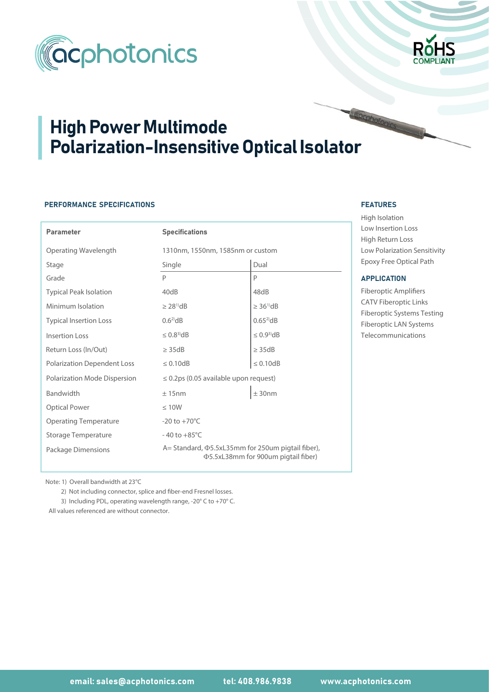



# High Power Multimode Polarization-Insensitive Optical Isolator

# PERFORMANCE SPECIFICATIONS

| <b>Parameter</b>                   | <b>Specifications</b>                                                                                  |                              |  |  |  |  |
|------------------------------------|--------------------------------------------------------------------------------------------------------|------------------------------|--|--|--|--|
| Operating Wavelength               | 1310nm, 1550nm, 1585nm or custom                                                                       |                              |  |  |  |  |
| Stage                              | Single                                                                                                 | Dual                         |  |  |  |  |
| Grade                              | P                                                                                                      | P                            |  |  |  |  |
| <b>Typical Peak Isolation</b>      | 40dB                                                                                                   | 48dB                         |  |  |  |  |
| Minimum Isolation                  | $\geq$ 28 <sup>1)</sup> dB                                                                             | $\geq$ 36 <sup>1</sup> $dB$  |  |  |  |  |
| <b>Typical Insertion Loss</b>      | $0.6^{2}$ dB                                                                                           | $0.65^{2}$ dB                |  |  |  |  |
| <b>Insertion Loss</b>              | $\leq 0.8^{3}$ dB                                                                                      | $\leq$ 0.9 <sup>3</sup> $dB$ |  |  |  |  |
| Return Loss (In/Out)               | $\geq$ 35dB                                                                                            | $\geq$ 35dB                  |  |  |  |  |
| <b>Polarization Dependent Loss</b> | $\leq 0.10$ dB                                                                                         | $\leq 0.10$ dB               |  |  |  |  |
| Polarization Mode Dispersion       | $\leq$ 0.2ps (0.05 available upon request)                                                             |                              |  |  |  |  |
| Bandwidth                          | ± 15nm                                                                                                 |                              |  |  |  |  |
| <b>Optical Power</b>               | $\leq 10W$                                                                                             |                              |  |  |  |  |
| <b>Operating Temperature</b>       | $-20$ to $+70^{\circ}$ C                                                                               |                              |  |  |  |  |
| <b>Storage Temperature</b>         | $-40$ to $+85^{\circ}$ C                                                                               |                              |  |  |  |  |
| Package Dimensions                 | A = Standard, $\Phi$ 5.5xL35mm for 250um pigtail fiber),<br><b>Φ5.5xL38mm for 900um pigtail fiber)</b> |                              |  |  |  |  |

### FEATURES FEATURES

High Isolation Low Insertion Loss High Return Loss Low Polarization Sensitivity Epoxy Free Optical Path

#### **APPLICATION**

Fiberoptic Amplifiers CATV Fiberoptic Links Fiberoptic Systems Testing Fiberoptic LAN Systems Telecommunications

Note: 1) Overall bandwidth at 23°C

2) Not including connector, splice and fiber-end Fresnel losses.

3) Including PDL, operating wavelength range, -20° C to +70° C.

All values referenced are without connector.